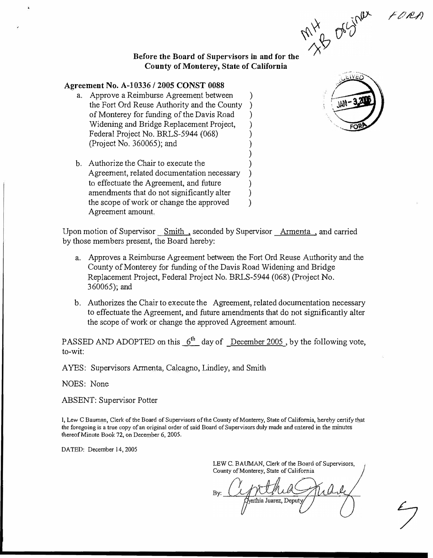

# **County of Monterey, State of California**

 $\sum_{i=1}^{n}$  $\sum_{i=1}^{n}$  $\sum_{i=1}^{n}$  $\sum_{i=1}^{n}$  $\sum_{i=1}^{n}$ )

### **Agreement No. A-10336 / 2005 CONST 0088**

- a. Approve a Reimburse Agreement between ) the Fort Ord Reuse Authority and the County ) of Monterey for funding of the Davis Road ) Widening and Bridge Replacement Project, ) Federal Project No. BRLS-5944 (068) (Project No. 360065); and )
- b. Authorize the Chair to execute the Agreement, related documentation necessary to effectuate the Agreement, and future amendments that do not significantly alter the scope of work or change the approved Agreement amount.



FORA

Upon motion of Supervisor Smith , seconded by Supervisor Armenta , and carried by those members present, the Board hereby:

- a. Approves a Reimburse Agreement between the Fort Ord Reuse Authority and the County of Monterey for funding of the Davis Road Widening and Bridge Replacement Project, Federal Project No. BRLS-5944 (068) (Project No. 360065); and
- b. Authorizes the Chair to execute the Agreement, related documentation necessary to effectuate the Agreement, and future amendments that do not significantly alter the scope of work or change the approved Agreement amount.

PASSED AND ADOPTED on this  $6^{th}$  day of December 2005, by the following vote, to-wit:

AYES: Supervisors Armenta, Calcagno, Lindley, and Smith

NOES: None

ABSENT: Supervisor Potter

**11 Lew C Bauman, Clerk of the Board of Supervisors of the County of Monterey, State of California, hereby certify that the foregoing is a true copy of an original order of said Board of Supervisors duly made and entered in the minutes thereof Minute Book 72, on December 6, 2005.** 

DATED: December 14, 2005

LEW C. BAUMAN, Clerk of the Board of Supervisors, **County of Monterey, State of California** 

vnthia Juarez, Deputy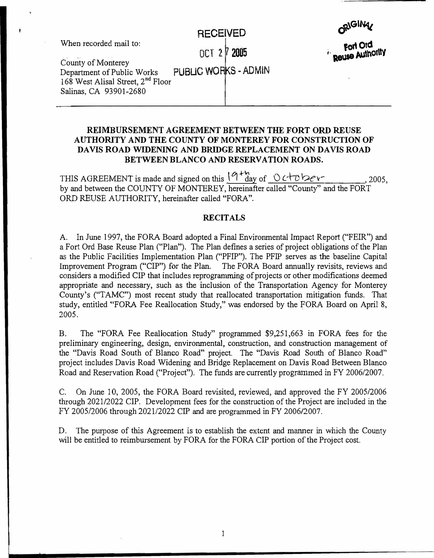| <b>RIGINY</b> |
|---------------|
|---------------|

# **RECEIVED**

When recorded mail to:

**2005** 

**fo11 Ord ;. aeuse AUthorltv** 

County of Monterey<br>Department of Public Works PUBLIC WORKS - ADMIN 168 West Alisal Street, 2<sup>nd</sup> Floor Salinas, CA 93901-2680

# **REIMBURSEMENT AGREEMENT BETWEEN THE FORT ORD REUSE AUTHORITY AND THE COUNTY OF MONTEREY FOR CONSTRUCTION OF DAVIS ROAD WIDENING AND BRIDGE REPLACEMENT ON DA VIS ROAD BETWEEN BLANCO AND RESERVATION ROADS.**

THIS AGREEMENT is made and signed on this  $\frac{Q + h}{\text{day}}$  of  $\frac{Q}{\text{day}}$  of  $\frac{Q}{\text{day}}$ , 2005, by and between the COUNTY OF MONTEREY, hereinafter called "County" and the FORT ORD REUSE AUTHORITY, hereinafter called "FORA".

## **RECITALS**

A. In June 1997, the FORA Board adopted a Final Environmental Impact Report ("FEIR") and a Fort Ord Base Reuse Plan ("Plan"). The Plan defines a series of project obligations of the Plan as the Public Facilities Implementation Plan ("PFIP"). The PFIP serves as the baseline Capital Improvement Program ("CIP") for the Plan. The FORA Board annually revisits, reviews and The FORA Board annually revisits, reviews and considers a modified CIP that includes reprogramming of projects or other modifications deemed appropriate and necessary, such as the inclusion of the Transportation Agency for Monterey County's ("TAMC") most recent study that reallocated transportation mitigation funds. That study, entitled "FORA Fee Reallocation Study," was endorsed by the FORA Board on April 8, 2005.

B. The "FORA Fee Reallocation Study" programmed \$9,251,663 in FORA fees for the preliminary engineering, design, environmental, construction, and construction management of the "Davis Road South of Blanco Road" project. The "Davis Road South of Blanco Road" project includes Davis Road Widening and Bridge Replacement on Davis Road Between Blanco Road and Reservation Road ("Project"). The funds are currently programmed in FY 2006/2007.

C. On June 10, 2005, the FORA Board revisited, reviewed, and approved the FY 2005/2006 through 2021/2022 CIP. Development fees for the construction of the Project are included in the FY 2005/2006 through 2021/2022 CIP and are programmed in FY 2006/2007.

D. The purpose of this Agreement is to establish the extent and manner in which the County will be entitled to reimbursement by FORA for the FORA CIP portion of the Project cost.

1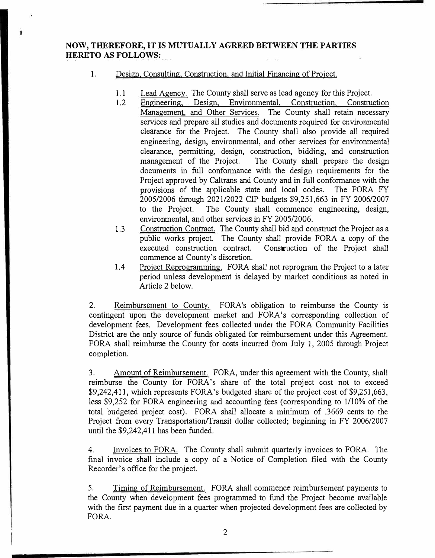# **NOW, THEREFORE, IT IS MUTUALLY AGREED BETWEEN THE PARTIES HERETO AS FOLLOWS:**

۱

# I. Design, Consulting, Construction, and Initial Financing of Project.

- 1.1 Lead Agency. The County shall serve as lead agency for this Project.
- 1.2 Engineering, Design, Environmental, Construction, Construction Management, and Other Services. The County shall retain necessary services and prepare all studies and documents required for environmental clearance for the Project. The County shall also provide all required engineering, design, environmental, and other services for environmental clearance, permitting, design, construction, bidding, and construction management of the Project. The County shall prepare the design documents in full conformance with the design requirements for the Project approved by Caltrans and County and in full conformance with the provisions of the applicable state and local codes. The FORA FY 2005/2006 through 2021/2022 CIP budgets \$9,251,663 in FY 2006/2007 to the Project. The County shall commence engineering, design, environmental, and other services in FY 2005/2006.
- 1.3 Construction Contract. The County shall bid and construct the Project as a public works project. The County shall provide FORA a copy of the executed construction contract. Construction of the Project shall commence at County's discretion.
- 1.4 Project Reprogramming. FORA shall not reprogram the Project to a later period unless development is delayed by market conditions as noted in Article 2 below.

2. Reimbursement to County. FORA's obligation to reimburse the County is contingent upon the development market and FORA's corresponding collection of development fees. Development fees collected under the FORA Community Facilities District are the only source of funds obligated for reimbursement under this Agreement. FORA shall reimburse the County for costs incurred from July 1, 2005 through Project completion.

3. Amount of Reimbursement. FORA, under this agreement with the County, shall reimburse the County for FORA's share of the total project cost not to exceed  $$9,242,411$ , which represents FORA's budgeted share of the project cost of  $$9,251,663$ , less \$9,252 for FORA engineering and accounting fees (corresponding to 1/10% of the total budgeted project cost). FORA shall allocate a minimum of .3669 cents to the Project from every Transportation/Transit dollar collected; beginning in FY 2006/2007 until the \$9,242,411 has been funded.

4. Invoices to FORA. The County shall submit quarterly invoices to FORA. The final invoice shall include a copy of a Notice of Completion filed with the County Recorder's office for the project.

5. Timing of Reimbursement. FORA shall commence reimbursement payments to the County when development fees programmed to fund the Project become available with the first payment due in a quarter when projected development fees are collected by FORA.